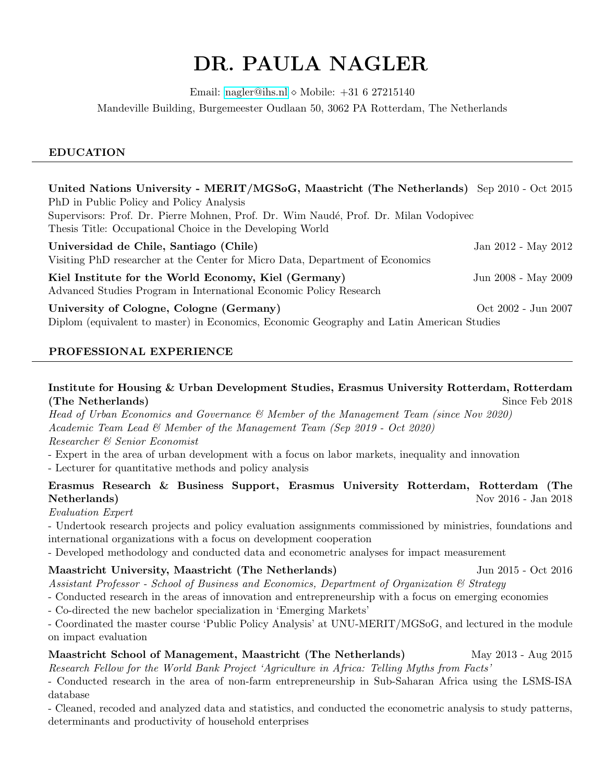# DR. PAULA NAGLER

Email: [nagler@ihs.nl](mailto:nagler@ihs.nl)  $\diamond$  Mobile:  $+31$  6 27215140

Mandeville Building, Burgemeester Oudlaan 50, 3062 PA Rotterdam, The Netherlands

# EDUCATION

| United Nations University - MERIT/MGSoG, Maastricht (The Netherlands) Sep 2010 - Oct 2015                                                         |                     |
|---------------------------------------------------------------------------------------------------------------------------------------------------|---------------------|
| PhD in Public Policy and Policy Analysis                                                                                                          |                     |
| Supervisors: Prof. Dr. Pierre Mohnen, Prof. Dr. Wim Naudé, Prof. Dr. Milan Vodopivec<br>Thesis Title: Occupational Choice in the Developing World |                     |
| Universidad de Chile, Santiago (Chile)<br>Visiting PhD researcher at the Center for Micro Data, Department of Economics                           | Jan 2012 - May 2012 |
| Kiel Institute for the World Economy, Kiel (Germany)<br>Advanced Studies Program in International Economic Policy Research                        | Jun 2008 - May 2009 |
| University of Cologne, Cologne (Germany)<br>Diplom (equivalent to master) in Economics, Economic Geography and Latin American Studies             | Oct 2002 - Jun 2007 |

# PROFESSIONAL EXPERIENCE

# Institute for Housing & Urban Development Studies, Erasmus University Rotterdam, Rotterdam (The Netherlands) Since Feb 2018

Head of Urban Economics and Governance & Member of the Management Team (since Nov 2020) Academic Team Lead & Member of the Management Team (Sep 2019 - Oct 2020)

Researcher & Senior Economist

- Expert in the area of urban development with a focus on labor markets, inequality and innovation

- Lecturer for quantitative methods and policy analysis

# Erasmus Research & Business Support, Erasmus University Rotterdam, Rotterdam (The Nov 2016 - Jan 2018

# Evaluation Expert

- Undertook research projects and policy evaluation assignments commissioned by ministries, foundations and international organizations with a focus on development cooperation

- Developed methodology and conducted data and econometric analyses for impact measurement

# Maastricht University, Maastricht (The Netherlands) Jun 2015 - Oct 2016

- Assistant Professor School of Business and Economics, Department of Organization & Strategy
- Conducted research in the areas of innovation and entrepreneurship with a focus on emerging economies
- Co-directed the new bachelor specialization in 'Emerging Markets'

- Coordinated the master course 'Public Policy Analysis' at UNU-MERIT/MGSoG, and lectured in the module on impact evaluation

# Maastricht School of Management, Maastricht (The Netherlands) May 2013 - Aug 2015

Research Fellow for the World Bank Project 'Agriculture in Africa: Telling Myths from Facts'

- Conducted research in the area of non-farm entrepreneurship in Sub-Saharan Africa using the LSMS-ISA database

- Cleaned, recoded and analyzed data and statistics, and conducted the econometric analysis to study patterns, determinants and productivity of household enterprises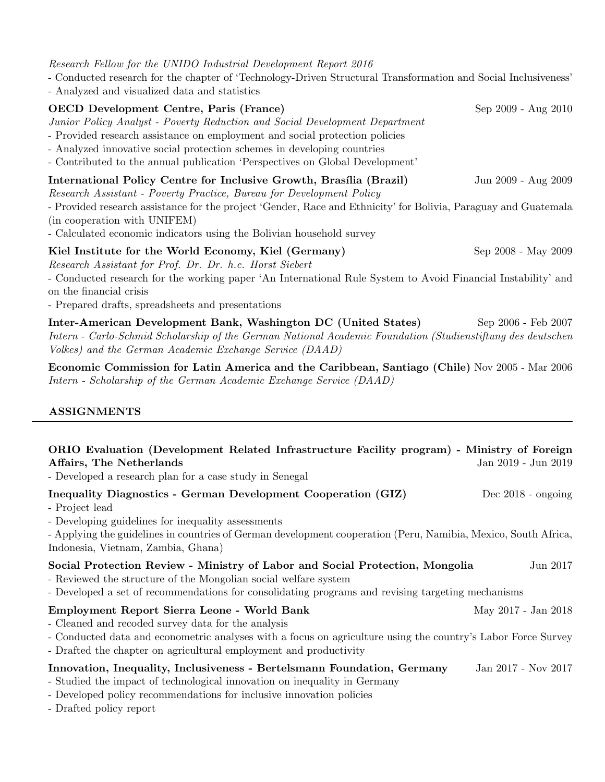Research Fellow for the UNIDO Industrial Development Report 2016

- Conducted research for the chapter of 'Technology-Driven Structural Transformation and Social Inclusiveness'
- Analyzed and visualized data and statistics

# **OECD Development Centre, Paris (France)** Sep 2009 - Aug 2010

Junior Policy Analyst - Poverty Reduction and Social Development Department

- Provided research assistance on employment and social protection policies
- Analyzed innovative social protection schemes in developing countries
- Contributed to the annual publication 'Perspectives on Global Development'

# International Policy Centre for Inclusive Growth, Brasília (Brazil) Jun 2009 - Aug 2009

Research Assistant - Poverty Practice, Bureau for Development Policy

- Provided research assistance for the project 'Gender, Race and Ethnicity' for Bolivia, Paraguay and Guatemala (in cooperation with UNIFEM)

- Calculated economic indicators using the Bolivian household survey

# Kiel Institute for the World Economy, Kiel (Germany) Sep 2008 - May 2009

Research Assistant for Prof. Dr. Dr. h.c. Horst Siebert

- Conducted research for the working paper 'An International Rule System to Avoid Financial Instability' and on the financial crisis

- Prepared drafts, spreadsheets and presentations

Inter-American Development Bank, Washington DC (United States) Sep 2006 - Feb 2007 Intern - Carlo-Schmid Scholarship of the German National Academic Foundation (Studienstiftung des deutschen Volkes) and the German Academic Exchange Service (DAAD)

Economic Commission for Latin America and the Caribbean, Santiago (Chile) Nov 2005 - Mar 2006 Intern - Scholarship of the German Academic Exchange Service (DAAD)

# ASSIGNMENTS

| ORIO Evaluation (Development Related Infrastructure Facility program) - Ministry of Foreign<br>Affairs, The Netherlands<br>- Developed a research plan for a case study in Senegal                                                                                                                   | Jan 2019 - Jun 2019  |
|------------------------------------------------------------------------------------------------------------------------------------------------------------------------------------------------------------------------------------------------------------------------------------------------------|----------------------|
| <b>Inequality Diagnostics - German Development Cooperation (GIZ)</b><br>- Project lead<br>- Developing guidelines for inequality assessments<br>- Applying the guidelines in countries of German development cooperation (Peru, Namibia, Mexico, South Africa,<br>Indonesia, Vietnam, Zambia, Ghana) | Dec $2018$ - ongoing |
| Social Protection Review - Ministry of Labor and Social Protection, Mongolia<br>- Reviewed the structure of the Mongolian social welfare system<br>- Developed a set of recommendations for consolidating programs and revising targeting mechanisms                                                 | Jun 2017             |
| Employment Report Sierra Leone - World Bank<br>- Cleaned and recoded survey data for the analysis<br>- Conducted data and econometric analyses with a focus on agriculture using the country's Labor Force Survey<br>- Drafted the chapter on agricultural employment and productivity               | May 2017 - Jan 2018  |
| Innovation, Inequality, Inclusiveness - Bertelsmann Foundation, Germany<br>- Studied the impact of technological innovation on inequality in Germany<br>- Developed policy recommendations for inclusive innovation policies<br>- Drafted policy report                                              | Jan 2017 - Nov 2017  |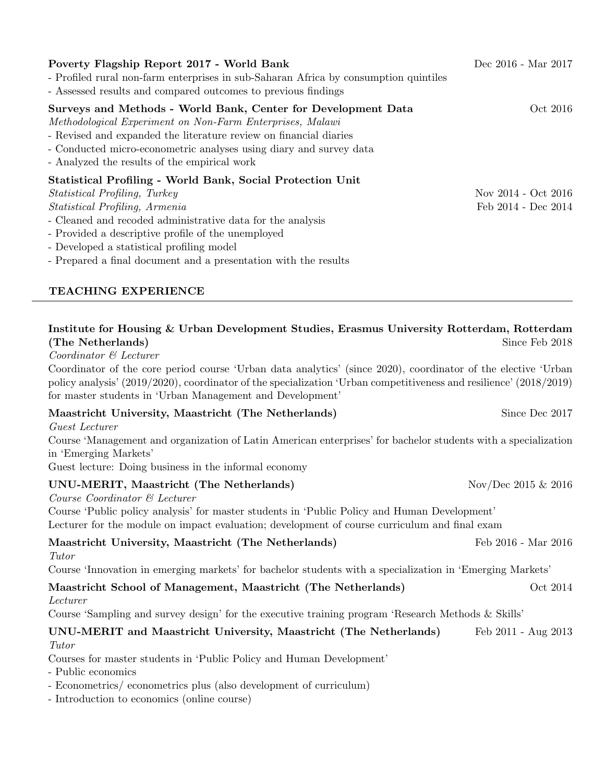| Poverty Flagship Report 2017 - World Bank<br>- Profiled rural non-farm enterprises in sub-Saharan Africa by consumption quintiles<br>- Assessed results and compared outcomes to previous findings                                                                                                                    | Dec 2016 - Mar 2017 |
|-----------------------------------------------------------------------------------------------------------------------------------------------------------------------------------------------------------------------------------------------------------------------------------------------------------------------|---------------------|
| Surveys and Methods - World Bank, Center for Development Data<br>Methodological Experiment on Non-Farm Enterprises, Malawi<br>- Revised and expanded the literature review on financial diaries<br>- Conducted micro-econometric analyses using diary and survey data<br>- Analyzed the results of the empirical work | Oct 2016            |
| <b>Statistical Profiling - World Bank, Social Protection Unit</b>                                                                                                                                                                                                                                                     |                     |
| Statistical Profiling, Turkey                                                                                                                                                                                                                                                                                         | Nov 2014 - Oct 2016 |
| <i>Statistical Profiling, Armenia</i>                                                                                                                                                                                                                                                                                 | Feb 2014 - Dec 2014 |
| - Cleaned and recoded administrative data for the analysis                                                                                                                                                                                                                                                            |                     |
| - Provided a descriptive profile of the unemployed                                                                                                                                                                                                                                                                    |                     |
| - Developed a statistical profiling model                                                                                                                                                                                                                                                                             |                     |
| - Prepared a final document and a presentation with the results                                                                                                                                                                                                                                                       |                     |

# TEACHING EXPERIENCE

| Institute for Housing & Urban Development Studies, Erasmus University Rotterdam, Rotterdam<br>(The Netherlands)                                                                                                                                                                                  | Since Feb 2018         |
|--------------------------------------------------------------------------------------------------------------------------------------------------------------------------------------------------------------------------------------------------------------------------------------------------|------------------------|
| Coordinator & Lecturer                                                                                                                                                                                                                                                                           |                        |
| Coordinator of the core period course 'Urban data analytics' (since 2020), coordinator of the elective 'Urban<br>policy analysis' (2019/2020), coordinator of the specialization 'Urban competitiveness and resilience' (2018/2019)<br>for master students in 'Urban Management and Development' |                        |
| Maastricht University, Maastricht (The Netherlands)                                                                                                                                                                                                                                              | Since Dec 2017         |
| Guest Lecturer                                                                                                                                                                                                                                                                                   |                        |
| Course 'Management and organization of Latin American enterprises' for bachelor students with a specialization<br>in 'Emerging Markets'                                                                                                                                                          |                        |
| Guest lecture: Doing business in the informal economy                                                                                                                                                                                                                                            |                        |
| UNU-MERIT, Maastricht (The Netherlands)<br>Course Coordinator & Lecturer                                                                                                                                                                                                                         | Nov/Dec 2015 $\&$ 2016 |
| Course 'Public policy analysis' for master students in 'Public Policy and Human Development'<br>Lecturer for the module on impact evaluation; development of course curriculum and final exam                                                                                                    |                        |
| Maastricht University, Maastricht (The Netherlands)<br>Tutor                                                                                                                                                                                                                                     | Feb 2016 - Mar 2016    |
| Course 'Innovation in emerging markets' for bachelor students with a specialization in 'Emerging Markets'                                                                                                                                                                                        |                        |
| Maastricht School of Management, Maastricht (The Netherlands)<br>Lecturer                                                                                                                                                                                                                        | Oct 2014               |
| Course 'Sampling and survey design' for the executive training program 'Research Methods & Skills'                                                                                                                                                                                               |                        |
| UNU-MERIT and Maastricht University, Maastricht (The Netherlands)<br>Tutor                                                                                                                                                                                                                       | Feb 2011 - Aug 2013    |
| Courses for master students in 'Public Policy and Human Development'                                                                                                                                                                                                                             |                        |
| - Public economics                                                                                                                                                                                                                                                                               |                        |
| - Econometrics/econometrics plus (also development of curriculum)                                                                                                                                                                                                                                |                        |

- Introduction to economics (online course)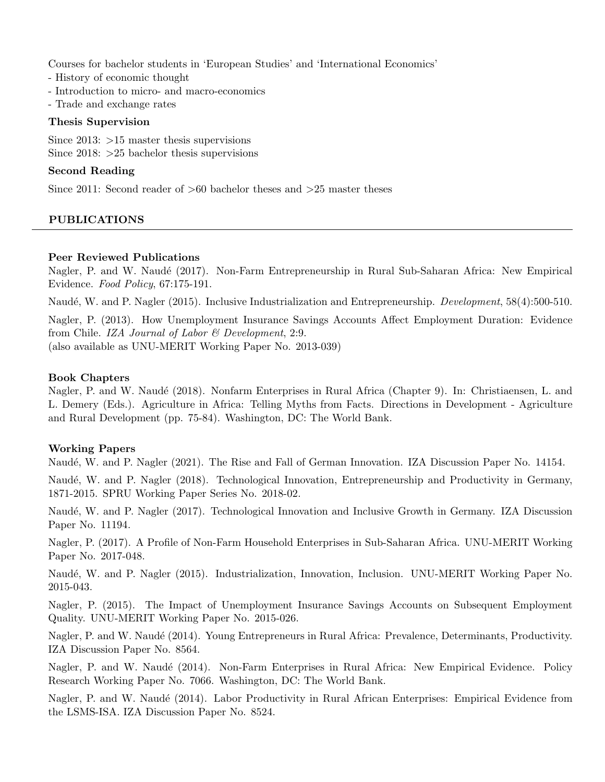Courses for bachelor students in 'European Studies' and 'International Economics'

- History of economic thought
- Introduction to micro- and macro-economics
- Trade and exchange rates

#### Thesis Supervision

Since 2013: >15 master thesis supervisions Since  $2018: >25$  bachelor thesis supervisions

# Second Reading

Since 2011: Second reader of  $>60$  bachelor theses and  $>25$  master theses

# PUBLICATIONS

# Peer Reviewed Publications

Nagler, P. and W. Naudé (2017). Non-Farm Entrepreneurship in Rural Sub-Saharan Africa: New Empirical Evidence. Food Policy, 67:175-191.

Naudé, W. and P. Nagler (2015). Inclusive Industrialization and Entrepreneurship. *Development*, 58(4):500-510.

Nagler, P. (2013). How Unemployment Insurance Savings Accounts Affect Employment Duration: Evidence from Chile. IZA Journal of Labor & Development, 2:9.

(also available as UNU-MERIT Working Paper No. 2013-039)

# Book Chapters

Nagler, P. and W. Naudé (2018). Nonfarm Enterprises in Rural Africa (Chapter 9). In: Christiaensen, L. and L. Demery (Eds.). Agriculture in Africa: Telling Myths from Facts. Directions in Development - Agriculture and Rural Development (pp. 75-84). Washington, DC: The World Bank.

# Working Papers

Naudé, W. and P. Nagler (2021). The Rise and Fall of German Innovation. IZA Discussion Paper No. 14154.

Naudé, W. and P. Nagler (2018). Technological Innovation, Entrepreneurship and Productivity in Germany, 1871-2015. SPRU Working Paper Series No. 2018-02.

Naudé, W. and P. Nagler (2017). Technological Innovation and Inclusive Growth in Germany. IZA Discussion Paper No. 11194.

Nagler, P. (2017). A Profile of Non-Farm Household Enterprises in Sub-Saharan Africa. UNU-MERIT Working Paper No. 2017-048.

Naud´e, W. and P. Nagler (2015). Industrialization, Innovation, Inclusion. UNU-MERIT Working Paper No. 2015-043.

Nagler, P. (2015). The Impact of Unemployment Insurance Savings Accounts on Subsequent Employment Quality. UNU-MERIT Working Paper No. 2015-026.

Nagler, P. and W. Naudé (2014). Young Entrepreneurs in Rural Africa: Prevalence, Determinants, Productivity. IZA Discussion Paper No. 8564.

Nagler, P. and W. Naudé (2014). Non-Farm Enterprises in Rural Africa: New Empirical Evidence. Policy Research Working Paper No. 7066. Washington, DC: The World Bank.

Nagler, P. and W. Naudé (2014). Labor Productivity in Rural African Enterprises: Empirical Evidence from the LSMS-ISA. IZA Discussion Paper No. 8524.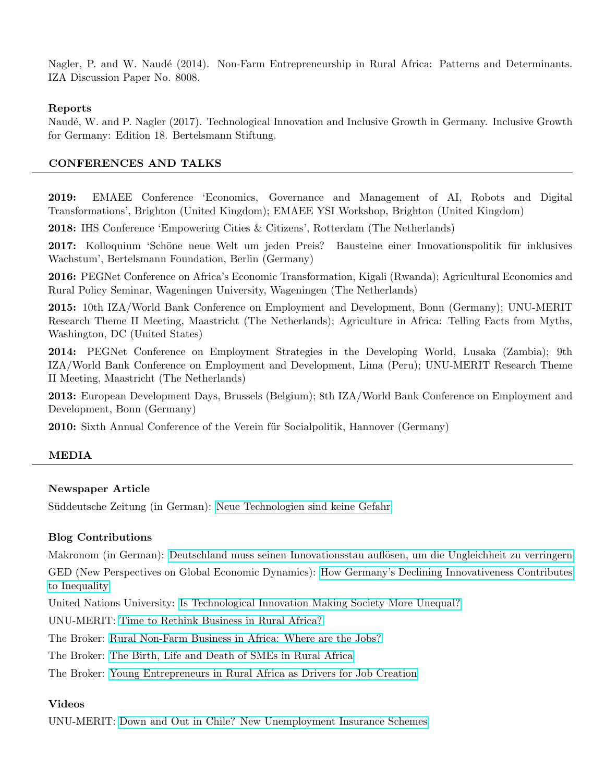Nagler, P. and W. Naudé (2014). Non-Farm Entrepreneurship in Rural Africa: Patterns and Determinants. IZA Discussion Paper No. 8008.

#### Reports

Naudé, W. and P. Nagler (2017). Technological Innovation and Inclusive Growth in Germany. Inclusive Growth for Germany: Edition 18. Bertelsmann Stiftung.

# CONFERENCES AND TALKS

2019: EMAEE Conference 'Economics, Governance and Management of AI, Robots and Digital Transformations', Brighton (United Kingdom); EMAEE YSI Workshop, Brighton (United Kingdom)

2018: IHS Conference 'Empowering Cities & Citizens', Rotterdam (The Netherlands)

**2017:** Kolloquium 'Schöne neue Welt um jeden Preis? Bausteine einer Innovationspolitik für inklusives Wachstum', Bertelsmann Foundation, Berlin (Germany)

2016: PEGNet Conference on Africa's Economic Transformation, Kigali (Rwanda); Agricultural Economics and Rural Policy Seminar, Wageningen University, Wageningen (The Netherlands)

2015: 10th IZA/World Bank Conference on Employment and Development, Bonn (Germany); UNU-MERIT Research Theme II Meeting, Maastricht (The Netherlands); Agriculture in Africa: Telling Facts from Myths, Washington, DC (United States)

2014: PEGNet Conference on Employment Strategies in the Developing World, Lusaka (Zambia); 9th IZA/World Bank Conference on Employment and Development, Lima (Peru); UNU-MERIT Research Theme II Meeting, Maastricht (The Netherlands)

2013: European Development Days, Brussels (Belgium); 8th IZA/World Bank Conference on Employment and Development, Bonn (Germany)

**2010:** Sixth Annual Conference of the Verein für Socialpolitik, Hannover (Germany)

# MEDIA

# Newspaper Article

Süddeutsche Zeitung (in German): [Neue Technologien sind keine Gefahr](http://www.sueddeutsche.de/wirtschaft/digitalisierung-neue-technologien-sind-keine-gefahr-1.3785743)

# Blog Contributions

Makronom (in German): Deutschland muss seinen Innovationsstau auflösen, um die Ungleichheit zu verringern GED (New Perspectives on Global Economic Dynamics): [How Germany's Declining Innovativeness Contributes](https://ged-project.de/allgemein-en/how-germanys-weak-innovation-eco-system-is-driving-inequality/) [to Inequality](https://ged-project.de/allgemein-en/how-germanys-weak-innovation-eco-system-is-driving-inequality/)

United Nations University: [Is Technological Innovation Making Society More Unequal?](https://unu.edu/publications/articles/is-technological-innovation-making-society-more-unequal.html)

UNU-MERIT: [Time to Rethink Business in Rural Africa?](http://www.merit.unu.edu/time-to-rethink-business-in-rural-africa/)

The Broker: [Rural Non-Farm Business in Africa: Where are the Jobs?](http://www.thebrokeronline.eu/Blogs/Employment/Rural-non-farm-business-in-Africa-where-are-the-jobs)

The Broker: [The Birth, Life and Death of SMEs in Rural Africa](http://www.thebrokeronline.eu/Blogs/Boosting-Employment-in-Small-and-Medium-Enterprises/The-Birth-Life-and-Death-of-SMEs-in-Rural-Africa)

The Broker: [Young Entrepreneurs in Rural Africa as Drivers for Job Creation](http://www.thebrokeronline.eu/Blogs/Boosting-Employment-in-Small-and-Medium-Enterprises/Young-entrepreneurs-in-rural-Africa-as-drivers-for-job-creation)

#### Videos

UNU-MERIT: [Down and Out in Chile? New Unemployment Insurance Schemes](https://www.youtube.com/watch?v=D5HroSELv8I)